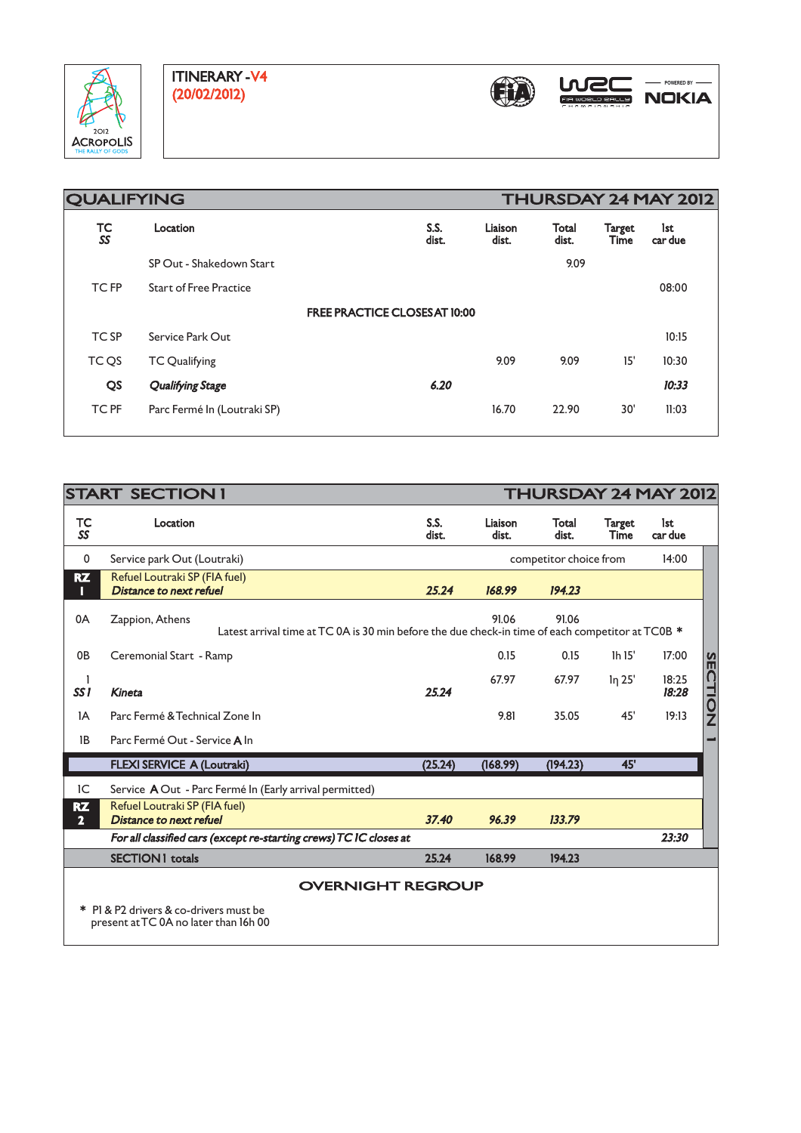



| <b>QUALIFYING</b> |                               |                                      |                  | THURSDAY 24 MAY 2012  |                       |                |  |  |
|-------------------|-------------------------------|--------------------------------------|------------------|-----------------------|-----------------------|----------------|--|--|
| TC<br>SS          | Location                      | S.S.<br>dist.                        | Liaison<br>dist. | <b>Total</b><br>dist. | Target<br><b>Time</b> | lst<br>car due |  |  |
|                   | SP Out - Shakedown Start      |                                      |                  | 9.09                  |                       |                |  |  |
| <b>TCFP</b>       | <b>Start of Free Practice</b> |                                      |                  |                       |                       | 08:00          |  |  |
|                   |                               | <b>FREE PRACTICE CLOSES AT 10:00</b> |                  |                       |                       |                |  |  |
| TC SP             | Service Park Out              |                                      |                  |                       |                       | 10:15          |  |  |
| TC QS             | <b>TC Qualifying</b>          |                                      | 9.09             | 9.09                  | 15'                   | 10:30          |  |  |
| QS                | <b>Qualifying Stage</b>       | 6.20                                 |                  |                       |                       | 10:33          |  |  |
| <b>TC PF</b>      | Parc Fermé In (Loutraki SP)   |                                      | 16.70            | 22.90                 | 30'                   | 11:03          |  |  |
|                   |                               |                                      |                  |                       |                       |                |  |  |

| <b>START SECTION I</b>                                                          |                                                                                                                                       |               |                        | THURSDAY 24 MAY 2012 |                       |                |                |  |
|---------------------------------------------------------------------------------|---------------------------------------------------------------------------------------------------------------------------------------|---------------|------------------------|----------------------|-----------------------|----------------|----------------|--|
| TC<br>SS                                                                        | Location                                                                                                                              | S.S.<br>dist. | Liaison<br>dist.       | Total<br>dist.       | <b>Target</b><br>Time | lst<br>car due |                |  |
| 0                                                                               | Service park Out (Loutraki)                                                                                                           |               | competitor choice from |                      |                       | 14:00          |                |  |
| <b>RZ</b><br>П                                                                  | Refuel Loutraki SP (FIA fuel)<br>Distance to next refuel                                                                              | 25.24         | 168.99                 | 194.23               |                       |                |                |  |
| 0A                                                                              | 91.06<br>91.06<br>Zappion, Athens<br>Latest arrival time at TC 0A is 30 min before the due check-in time of each competitor at TC0B * |               |                        |                      |                       |                |                |  |
| 0 <sub>B</sub>                                                                  | Ceremonial Start - Ramp                                                                                                               |               | 0.15                   | 0.15                 | 1h 15'                | 17:00          |                |  |
| SS <sub>1</sub>                                                                 | <b>Kineta</b>                                                                                                                         | 25.24         | 67.97                  | 67.97                | <i>lη</i> 25'         | 18:25<br>18:28 | <b>SECTION</b> |  |
| 1A                                                                              | Parc Fermé & Technical Zone In                                                                                                        |               | 9.81                   | 35.05                | 45'                   | 19:13          |                |  |
| 1B                                                                              | Parc Fermé Out - Service A In                                                                                                         |               |                        |                      |                       |                |                |  |
|                                                                                 | <b>FLEXI SERVICE A (Loutraki)</b>                                                                                                     | (25.24)       | (168.99)               | (194.23)             | 45'                   |                |                |  |
| IC                                                                              | Service A Out - Parc Fermé In (Early arrival permitted)                                                                               |               |                        |                      |                       |                |                |  |
| <b>RZ</b><br>$\overline{2}$                                                     | Refuel Loutraki SP (FIA fuel)<br>Distance to next refuel                                                                              | 37.40         | 96.39                  | 133.79               |                       |                |                |  |
|                                                                                 | For all classified cars (except re-starting crews) TC IC closes at                                                                    |               |                        |                      |                       | 23:30          |                |  |
|                                                                                 | <b>SECTION 1 totals</b>                                                                                                               | 25.24         | 168.99                 | 194.23               |                       |                |                |  |
| <b>OVERNIGHT REGROUP</b>                                                        |                                                                                                                                       |               |                        |                      |                       |                |                |  |
| * PI & P2 drivers & co-drivers must be<br>present at TC 0A no later than 16h 00 |                                                                                                                                       |               |                        |                      |                       |                |                |  |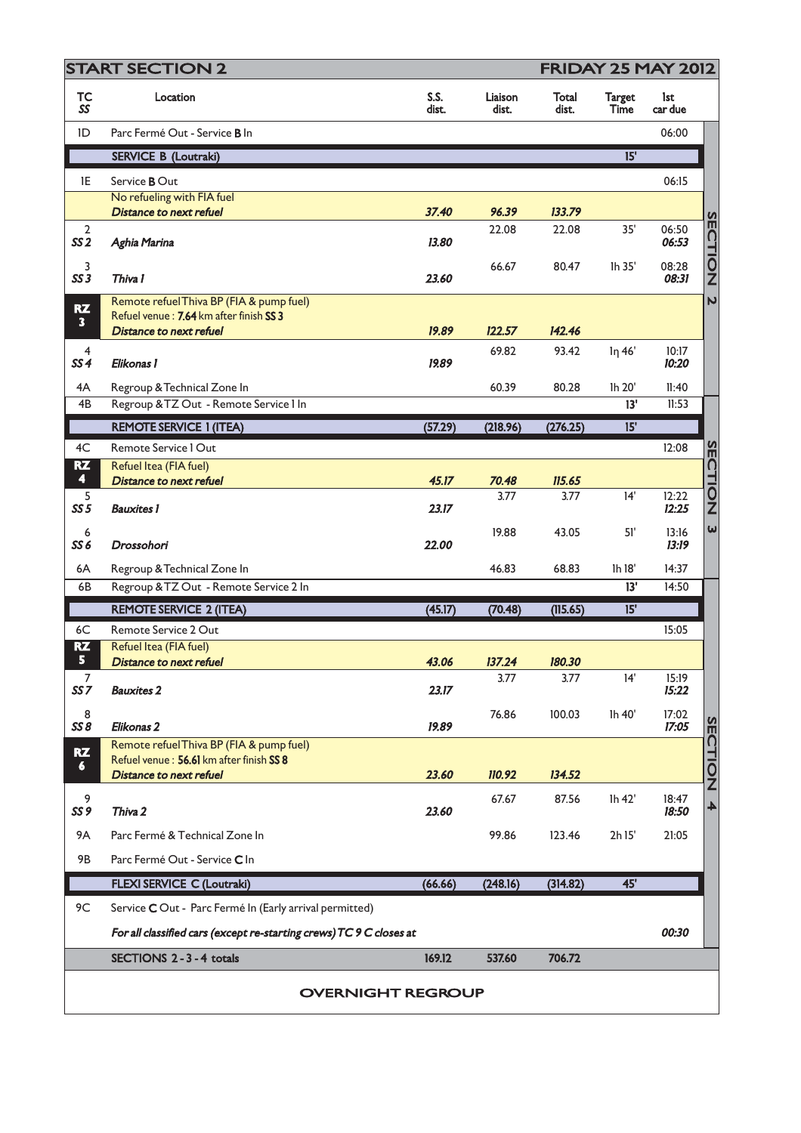| <b>START SECTION 2</b>            |                                                                     |               | <b>FRIDAY 25 MAY 2012</b> |                |                              |                |                |  |
|-----------------------------------|---------------------------------------------------------------------|---------------|---------------------------|----------------|------------------------------|----------------|----------------|--|
| TC<br>SS                          | Location                                                            | S.S.<br>dist. | Liaison<br>dist.          | Total<br>dist. | <b>Target</b><br><b>Time</b> | lst<br>car due |                |  |
| ID                                | Parc Fermé Out - Service B In                                       |               |                           |                |                              | 06:00          |                |  |
|                                   | <b>SERVICE B (Loutraki)</b>                                         |               |                           |                | 15'                          |                |                |  |
| 1E                                | Service <b>B</b> Out                                                |               |                           |                |                              | 06:15          |                |  |
|                                   | No refueling with FIA fuel                                          |               |                           |                |                              |                |                |  |
|                                   | <b>Distance to next refuel</b>                                      | 37.40         | 96.39                     | 133.79         |                              |                |                |  |
| $\overline{2}$<br>SS <sub>2</sub> | Aghia Marina                                                        | 13.80         | 22.08                     | 22.08          | 35'                          | 06:50<br>06:53 | <b>SECTION</b> |  |
| 3<br>SS3                          | Thiva I                                                             | 23.60         | 66.67                     | 80.47          | Ih 35'                       | 08:28<br>08:31 |                |  |
| RZ                                | Remote refuel Thiva BP (FIA & pump fuel)                            |               |                           |                |                              |                | $\mathbf{v}$   |  |
| $\overline{\mathbf{3}}$           | Refuel venue: 7.64 km after finish SS 3<br>Distance to next refuel  | 19.89         | 122.57                    | 142.46         |                              |                |                |  |
| 4                                 |                                                                     |               | 69.82                     | 93.42          | lη 46'                       | 10:17          |                |  |
| SS <sub>4</sub>                   | Elikonas 1                                                          | 19.89         |                           |                |                              | 10:20          |                |  |
| 4A                                | Regroup & Technical Zone In                                         |               | 60.39                     | 80.28          | Ih 20'                       | 11:40          |                |  |
| 4B                                | Regroup & TZ Out - Remote Service I In                              |               |                           |                | 13'                          | 11:53          |                |  |
|                                   | <b>REMOTE SERVICE 1 (ITEA)</b>                                      | (57.29)       | (218.96)                  | (276.25)       | 15'                          |                |                |  |
| 4C                                | Remote Service I Out                                                |               |                           |                |                              | 12:08          | $rac{1}{2}$    |  |
| RZ                                | Refuel Itea (FIA fuel)                                              |               |                           |                |                              |                |                |  |
| $\blacktriangleleft$              | <b>Distance to next refuel</b>                                      | 45.17         | 70.48                     | 115.65         |                              |                |                |  |
| 5<br>SS <sub>5</sub>              | <b>Bauxites 1</b>                                                   | 23.17         | 3.77                      | 3.77           | 14'                          | 12:22<br>12:25 | <b>UNON</b>    |  |
| 6<br>SS <sub>6</sub>              | Drossohori                                                          | 22.00         | 19.88                     | 43.05          | 51'                          | 13:16<br>13:19 | $\omega$       |  |
| 6A                                | Regroup & Technical Zone In                                         |               | 46.83                     | 68.83          | Ih 18'                       | 14:37          |                |  |
| 6B                                | Regroup & TZ Out - Remote Service 2 In                              |               |                           |                | 13'                          | 14:50          |                |  |
|                                   | <b>REMOTE SERVICE 2 (ITEA)</b>                                      | (45.17)       | (70.48)                   | (115.65)       | 15'                          |                |                |  |
| 6C                                | Remote Service 2 Out                                                |               |                           |                |                              | 15:05          |                |  |
| <b>RZ</b><br>5                    | Refuel Itea (FIA fuel)                                              |               |                           |                |                              |                |                |  |
| 7                                 | <b>Distance to next refuel</b>                                      | 43.06         | 137.24<br>3.77            | 180.30<br>3.77 | 14'                          | 15:19          |                |  |
| SS <sub>7</sub>                   | <b>Bauxites 2</b>                                                   | 23.17         |                           |                |                              | 15:22          |                |  |
| 8<br>SS8                          | Elikonas <sub>2</sub>                                               | 19.89         | 76.86                     | 100.03         | Ih 40'                       | 17:02<br>17:05 |                |  |
| RZ                                | Remote refuel Thiva BP (FIA & pump fuel)                            |               |                           |                |                              |                | <b>SECTION</b> |  |
| 6.                                | Refuel venue: 56.61 km after finish SS 8                            |               |                           |                |                              |                |                |  |
|                                   | <b>Distance to next refuel</b>                                      | 23.60         | 110.92                    | 134.52         |                              |                |                |  |
| 9<br>SS <sub>9</sub>              | Thiva 2                                                             | 23.60         | 67.67                     | 87.56          | lh 42'                       | 18:47<br>18:50 | 4              |  |
| <b>9A</b>                         | Parc Fermé & Technical Zone In                                      |               | 99.86                     | 123.46         | 2h 15'                       | 21:05          |                |  |
| 9B                                | Parc Fermé Out - Service C In                                       |               |                           |                |                              |                |                |  |
|                                   | <b>FLEXI SERVICE C (Loutraki)</b>                                   | (66.66)       | (248.16)                  | (314.82)       | 45'                          |                |                |  |
| 9C                                | Service C Out - Parc Fermé In (Early arrival permitted)             |               |                           |                |                              |                |                |  |
|                                   | For all classified cars (except re-starting crews) TC 9 C closes at |               |                           |                |                              | 00:30          |                |  |
|                                   | SECTIONS 2 - 3 - 4 totals                                           | 169.12        | 537.60                    | 706.72         |                              |                |                |  |
|                                   | <b>OVERNIGHT REGROUP</b>                                            |               |                           |                |                              |                |                |  |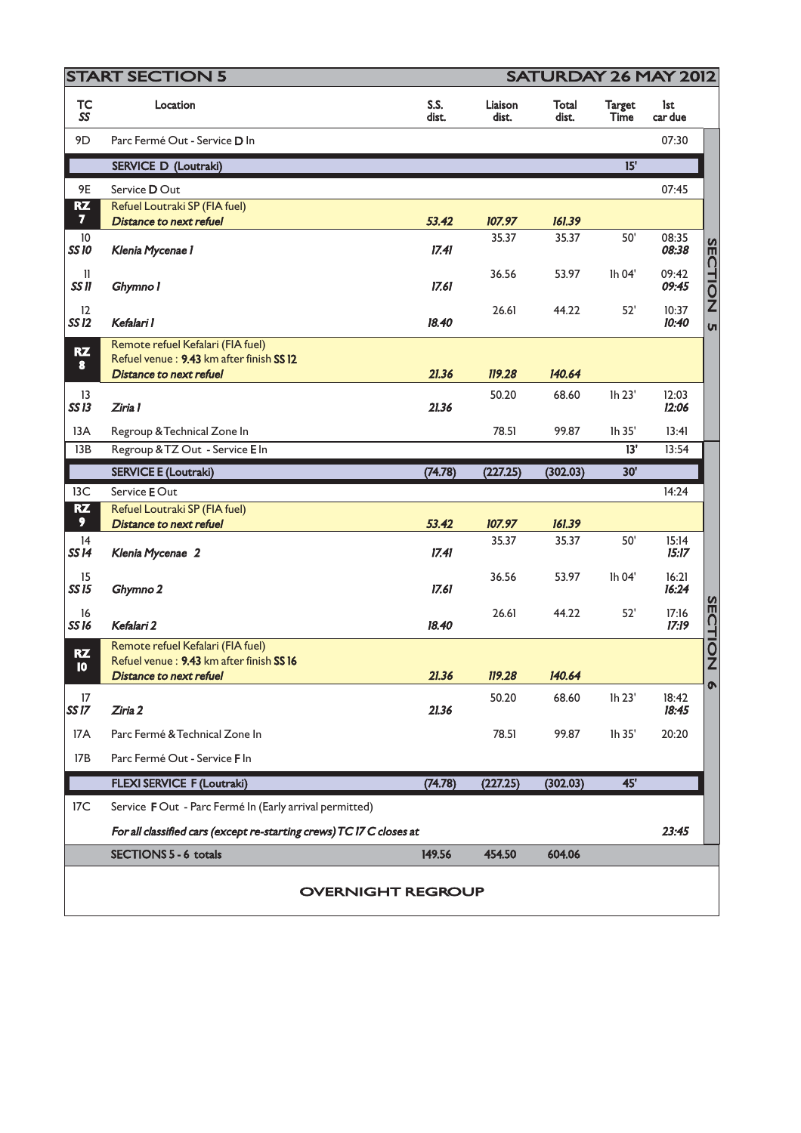| <b>START SECTION 5</b>               |                                                                                                                 |               |                  | SATURDAY 26 MAY 2012 |                              |                |                |  |
|--------------------------------------|-----------------------------------------------------------------------------------------------------------------|---------------|------------------|----------------------|------------------------------|----------------|----------------|--|
| <b>TC</b><br>SS                      | Location                                                                                                        | S.S.<br>dist. | Liaison<br>dist. | Total<br>dist.       | <b>Target</b><br><b>Time</b> | lst<br>car due |                |  |
| 9D                                   | Parc Fermé Out - Service D In                                                                                   |               |                  |                      |                              | 07:30          |                |  |
|                                      | <b>SERVICE D (Loutraki)</b>                                                                                     |               |                  |                      | 15'                          |                |                |  |
| 9E                                   | Service DOut                                                                                                    |               |                  |                      |                              | 07:45          |                |  |
| <b>RZ</b><br>$\overline{\mathbf{z}}$ | Refuel Loutraki SP (FIA fuel)                                                                                   |               |                  |                      |                              |                |                |  |
| $10\,$                               | <b>Distance to next refuel</b>                                                                                  | 53.42         | 107.97<br>35.37  | 161.39<br>35.37      | 50'                          | 08:35          |                |  |
| <b>SS10</b>                          | Klenia Mycenae 1                                                                                                | 17.41         |                  |                      |                              | 08:38          |                |  |
| $\mathbf{I}$<br>SS II                | Ghymno I                                                                                                        | 17.61         | 36.56            | 53.97                | lh 04'                       | 09:42<br>09:45 | SECTION        |  |
| 12<br>SS 12                          | Kefalari I                                                                                                      | 18.40         | 26.61            | 44.22                | 52'                          | 10:37<br>10:40 | <b>VI</b>      |  |
| RZ<br>$\bullet$                      | Remote refuel Kefalari (FIA fuel)<br>Refuel venue: 9.43 km after finish SS 12<br><b>Distance to next refuel</b> | 21.36         | 119.28           | 140.64               |                              |                |                |  |
| 13<br>SS13                           | Ziria 1                                                                                                         | 21.36         | 50.20            | 68.60                | Ih 23'                       | 12:03<br>12:06 |                |  |
| 13A                                  | Regroup & Technical Zone In                                                                                     |               | 78.51            | 99.87                | Ih 35'                       | 13:41          |                |  |
| 13B                                  | Regroup & TZ Out - Service E In                                                                                 |               |                  |                      | 13'                          | 13:54          |                |  |
|                                      | <b>SERVICE E (Loutraki)</b>                                                                                     | (74.78)       | (227.25)         | (302.03)             | 30'                          |                |                |  |
| 13C                                  | Service E Out                                                                                                   |               |                  |                      |                              | 14:24          |                |  |
| <b>RZ</b><br>9 <sup>°</sup>          | Refuel Loutraki SP (FIA fuel)<br><b>Distance to next refuel</b>                                                 | 53.42         | 107.97           | 161.39               |                              |                |                |  |
| 14<br><b>SS14</b>                    | Klenia Mycenae 2                                                                                                | 17.41         | 35.37            | 35.37                | 50'                          | 15:14<br>15:17 |                |  |
| 15<br>SS 15                          | Ghymno 2                                                                                                        | 17.61         | 36.56            | 53.97                | Ih 04'                       | 16:21<br>16:24 |                |  |
| 16<br><b>SS16</b>                    | Kefalari 2                                                                                                      | 18.40         | 26.61            | 44.22                | 52'                          | 17:16<br>17:19 | <b>SECTION</b> |  |
| RZ                                   | Remote refuel Kefalari (FIA fuel)<br>Refuel venue: 9.43 km after finish SS 16                                   |               |                  |                      |                              |                |                |  |
| 10                                   | <b>Distance to next refuel</b>                                                                                  | 21.36         | 119.28           | 140.64               |                              |                |                |  |
| 17<br><b>SS17</b>                    | Ziria 2                                                                                                         | 21.36         | 50.20            | 68.60                | Ih 23'                       | 18:42<br>18:45 | $\bullet$      |  |
| 17A                                  | Parc Fermé & Technical Zone In                                                                                  |               | 78.51            | 99.87                | Ih 35'                       | 20:20          |                |  |
| 17B                                  | Parc Fermé Out - Service F In                                                                                   |               |                  |                      |                              |                |                |  |
|                                      | <b>FLEXI SERVICE F (Loutraki)</b>                                                                               | (74.78)       | (227.25)         | (302.03)             | 45'                          |                |                |  |
| 17C                                  | Service FOut - Parc Fermé In (Early arrival permitted)                                                          |               |                  |                      |                              |                |                |  |
|                                      | For all classified cars (except re-starting crews) TC I7 C closes at                                            |               |                  |                      |                              | 23:45          |                |  |
|                                      | <b>SECTIONS 5 - 6 totals</b>                                                                                    | 149.56        | 454.50           | 604.06               |                              |                |                |  |
|                                      | <b>OVERNIGHT REGROUP</b>                                                                                        |               |                  |                      |                              |                |                |  |